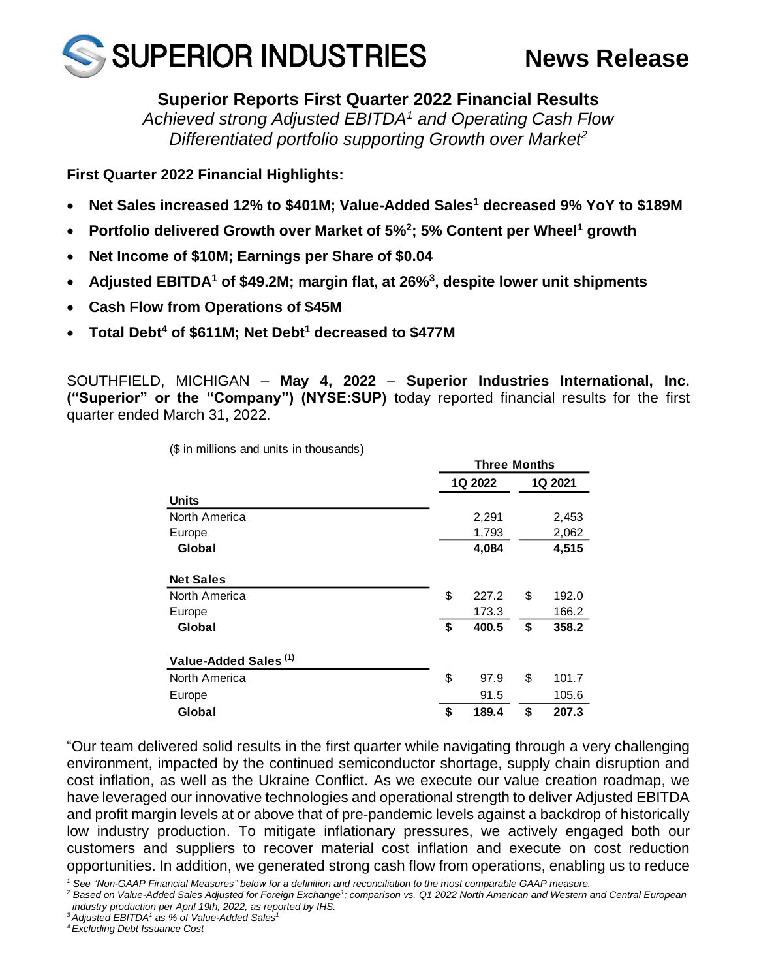

# **Superior Reports First Quarter 2022 Financial Results**

*Achieved strong Adjusted EBITDA<sup>1</sup> and Operating Cash Flow Differentiated portfolio supporting Growth over Market<sup>2</sup>*

**First Quarter 2022 Financial Highlights:**

- **Net Sales increased 12% to \$401M; Value-Added Sales<sup>1</sup> decreased 9% YoY to \$189M**
- **Portfolio delivered Growth over Market of 5%<sup>2</sup> ; 5% Content per Wheel<sup>1</sup> growth**
- **Net Income of \$10M; Earnings per Share of \$0.04**
- **Adjusted EBITDA<sup>1</sup> of \$49.2M; margin flat, at 26%<sup>3</sup> , despite lower unit shipments**
- **Cash Flow from Operations of \$45M**
- **Total Debt<sup>4</sup> of \$611M; Net Debt<sup>1</sup> decreased to \$477M**

SOUTHFIELD, MICHIGAN – **May 4, 2022** – **Superior Industries International, Inc. ("Superior" or the "Company") (NYSE:SUP)** today reported financial results for the first quarter ended March 31, 2022.

**Three Months**

|                                  | THEE MONTHS |    |         |  |  |  |
|----------------------------------|-------------|----|---------|--|--|--|
|                                  | 1Q 2022     |    | 1Q 2021 |  |  |  |
| <b>Units</b>                     |             |    |         |  |  |  |
| North America                    | 2,291       |    | 2,453   |  |  |  |
| Europe                           | 1,793       |    | 2,062   |  |  |  |
| Global                           | 4,084       |    | 4,515   |  |  |  |
| <b>Net Sales</b>                 |             |    |         |  |  |  |
| North America                    | \$<br>227.2 | \$ | 192.0   |  |  |  |
| Europe                           | 173.3       |    | 166.2   |  |  |  |
| Global                           | \$<br>400.5 | \$ | 358.2   |  |  |  |
| Value-Added Sales <sup>(1)</sup> |             |    |         |  |  |  |
| North America                    | \$<br>97.9  | \$ | 101.7   |  |  |  |
| Europe                           | 91.5        |    | 105.6   |  |  |  |
| Global                           | \$<br>189.4 | \$ | 207.3   |  |  |  |

(\$ in millions and units in thousands)

"Our team delivered solid results in the first quarter while navigating through a very challenging environment, impacted by the continued semiconductor shortage, supply chain disruption and cost inflation, as well as the Ukraine Conflict. As we execute our value creation roadmap, we have leveraged our innovative technologies and operational strength to deliver Adjusted EBITDA and profit margin levels at or above that of pre-pandemic levels against a backdrop of historically low industry production. To mitigate inflationary pressures, we actively engaged both our customers and suppliers to recover material cost inflation and execute on cost reduction opportunities. In addition, we generated strong cash flow from operations, enabling us to reduce

*<sup>1</sup> See "Non-GAAP Financial Measures" below for a definition and reconciliation to the most comparable GAAP measure.*

*<sup>2</sup> Based on Value-Added Sales Adjusted for Foreign Exchange<sup>1</sup> ; comparison vs. Q1 2022 North American and Western and Central European industry production per April 19th, 2022, as reported by IHS.*

*<sup>3</sup> Adjusted EBITDA<sup>1</sup> as % of Value-Added Sales<sup>1</sup>*

*<sup>4</sup> Excluding Debt Issuance Cost*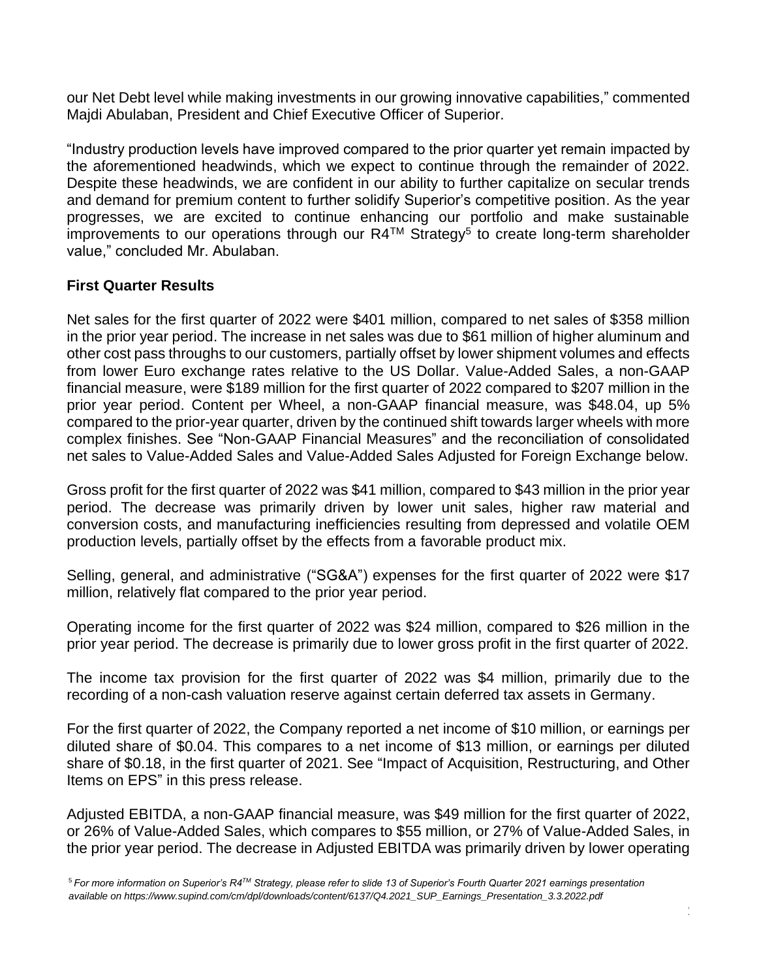our Net Debt level while making investments in our growing innovative capabilities," commented Majdi Abulaban, President and Chief Executive Officer of Superior.

"Industry production levels have improved compared to the prior quarter yet remain impacted by the aforementioned headwinds, which we expect to continue through the remainder of 2022. Despite these headwinds, we are confident in our ability to further capitalize on secular trends and demand for premium content to further solidify Superior's competitive position. As the year progresses, we are excited to continue enhancing our portfolio and make sustainable improvements to our operations through our  $R4^{TM}$  Strategy<sup>5</sup> to create long-term shareholder value," concluded Mr. Abulaban.

### **First Quarter Results**

Net sales for the first quarter of 2022 were \$401 million, compared to net sales of \$358 million in the prior year period. The increase in net sales was due to \$61 million of higher aluminum and other cost pass throughs to our customers, partially offset by lower shipment volumes and effects from lower Euro exchange rates relative to the US Dollar. Value-Added Sales, a non-GAAP financial measure, were \$189 million for the first quarter of 2022 compared to \$207 million in the prior year period. Content per Wheel, a non-GAAP financial measure, was \$48.04, up 5% compared to the prior-year quarter, driven by the continued shift towards larger wheels with more complex finishes. See "Non-GAAP Financial Measures" and the reconciliation of consolidated net sales to Value-Added Sales and Value-Added Sales Adjusted for Foreign Exchange below.

Gross profit for the first quarter of 2022 was \$41 million, compared to \$43 million in the prior year period. The decrease was primarily driven by lower unit sales, higher raw material and conversion costs, and manufacturing inefficiencies resulting from depressed and volatile OEM production levels, partially offset by the effects from a favorable product mix.

Selling, general, and administrative ("SG&A") expenses for the first quarter of 2022 were \$17 million, relatively flat compared to the prior year period.

Operating income for the first quarter of 2022 was \$24 million, compared to \$26 million in the prior year period. The decrease is primarily due to lower gross profit in the first quarter of 2022.

The income tax provision for the first quarter of 2022 was \$4 million, primarily due to the recording of a non-cash valuation reserve against certain deferred tax assets in Germany.

For the first quarter of 2022, the Company reported a net income of \$10 million, or earnings per diluted share of \$0.04. This compares to a net income of \$13 million, or earnings per diluted share of \$0.18, in the first quarter of 2021. See "Impact of Acquisition, Restructuring, and Other Items on EPS" in this press release.

Adjusted EBITDA, a non-GAAP financial measure, was \$49 million for the first quarter of 2022, or 26% of Value-Added Sales, which compares to \$55 million, or 27% of Value-Added Sales, in the prior year period. The decrease in Adjusted EBITDA was primarily driven by lower operating

2

<sup>5</sup> *For more information on Superior's R4TM Strategy, please refer to slide 13 of Superior's Fourth Quarter 2021 earnings presentation available on https://www.supind.com/cm/dpl/downloads/content/6137/Q4.2021\_SUP\_Earnings\_Presentation\_3.3.2022.pdf*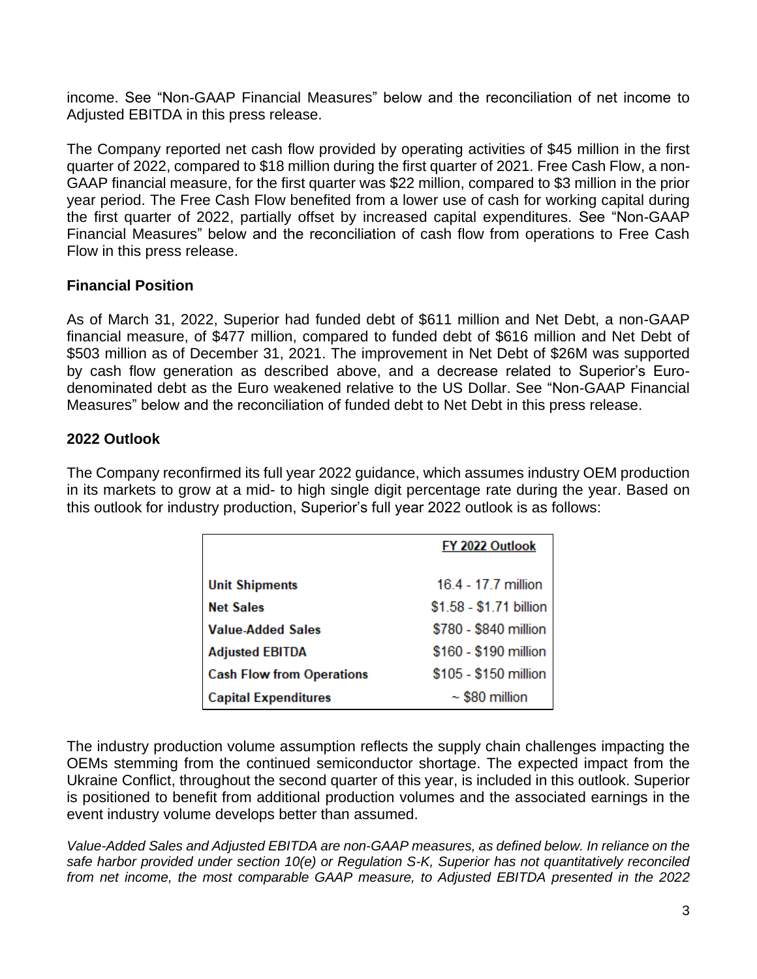income. See "Non-GAAP Financial Measures" below and the reconciliation of net income to Adjusted EBITDA in this press release.

The Company reported net cash flow provided by operating activities of \$45 million in the first quarter of 2022, compared to \$18 million during the first quarter of 2021. Free Cash Flow, a non-GAAP financial measure, for the first quarter was \$22 million, compared to \$3 million in the prior year period. The Free Cash Flow benefited from a lower use of cash for working capital during the first quarter of 2022, partially offset by increased capital expenditures. See "Non-GAAP Financial Measures" below and the reconciliation of cash flow from operations to Free Cash Flow in this press release.

# **Financial Position**

As of March 31, 2022, Superior had funded debt of \$611 million and Net Debt, a non-GAAP financial measure, of \$477 million, compared to funded debt of \$616 million and Net Debt of \$503 million as of December 31, 2021. The improvement in Net Debt of \$26M was supported by cash flow generation as described above, and a decrease related to Superior's Eurodenominated debt as the Euro weakened relative to the US Dollar. See "Non-GAAP Financial Measures" below and the reconciliation of funded debt to Net Debt in this press release.

# **2022 Outlook**

The Company reconfirmed its full year 2022 guidance, which assumes industry OEM production in its markets to grow at a mid- to high single digit percentage rate during the year. Based on this outlook for industry production, Superior's full year 2022 outlook is as follows:

|                                  | FY 2022 Outlook         |
|----------------------------------|-------------------------|
| <b>Unit Shipments</b>            | 16.4 - 17.7 million     |
| <b>Net Sales</b>                 | \$1.58 - \$1.71 billion |
| <b>Value-Added Sales</b>         | \$780 - \$840 million   |
| <b>Adjusted EBITDA</b>           | \$160 - \$190 million   |
| <b>Cash Flow from Operations</b> | \$105 - \$150 million   |
| <b>Capital Expenditures</b>      | $\sim$ \$80 million     |

The industry production volume assumption reflects the supply chain challenges impacting the OEMs stemming from the continued semiconductor shortage. The expected impact from the Ukraine Conflict, throughout the second quarter of this year, is included in this outlook. Superior is positioned to benefit from additional production volumes and the associated earnings in the event industry volume develops better than assumed.

*Value-Added Sales and Adjusted EBITDA are non-GAAP measures, as defined below. In reliance on the safe harbor provided under section 10(e) or Regulation S-K, Superior has not quantitatively reconciled from net income, the most comparable GAAP measure, to Adjusted EBITDA presented in the 2022*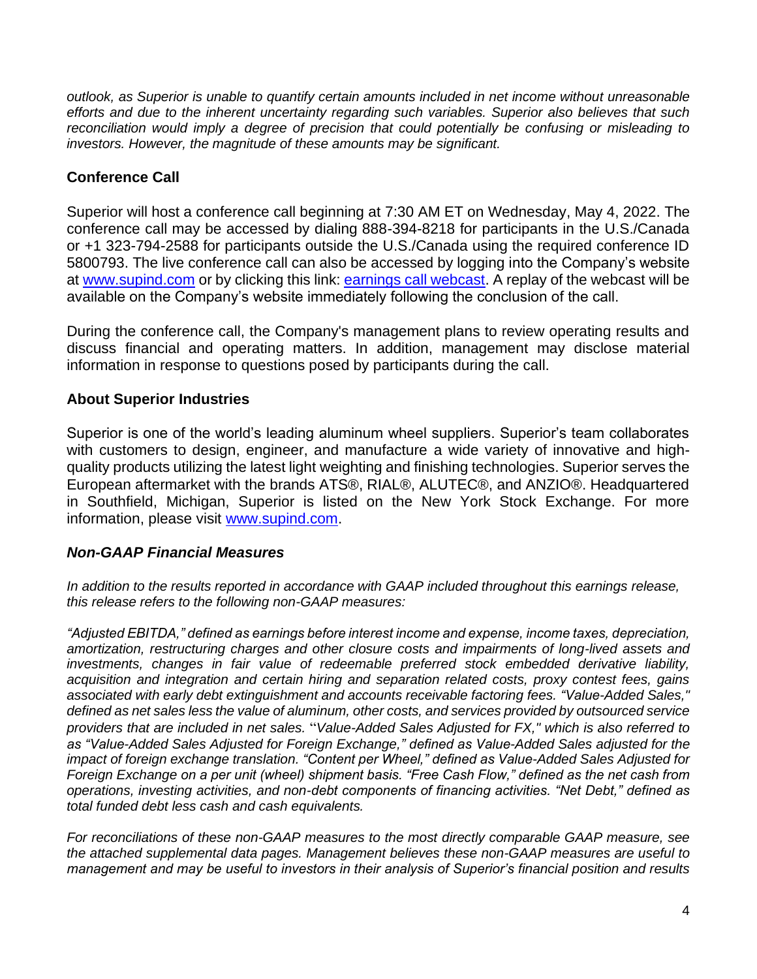*outlook, as Superior is unable to quantify certain amounts included in net income without unreasonable efforts and due to the inherent uncertainty regarding such variables. Superior also believes that such reconciliation would imply a degree of precision that could potentially be confusing or misleading to investors. However, the magnitude of these amounts may be significant.*

# **Conference Call**

Superior will host a conference call beginning at 7:30 AM ET on Wednesday, May 4, 2022. The conference call may be accessed by dialing 888-394-8218 for participants in the U.S./Canada or +1 323-794-2588 for participants outside the U.S./Canada using the required conference ID 5800793. The live conference call can also be accessed by logging into the Company's website at [www.supind.com](http://www.supind.com/) or by clicking this link: [earnings call webcast.](https://edge.media-server.com/mmc/p/4j384iy7) A replay of the webcast will be available on the Company's website immediately following the conclusion of the call.

During the conference call, the Company's management plans to review operating results and discuss financial and operating matters. In addition, management may disclose material information in response to questions posed by participants during the call.

# **About Superior Industries**

Superior is one of the world's leading aluminum wheel suppliers. Superior's team collaborates with customers to design, engineer, and manufacture a wide variety of innovative and highquality products utilizing the latest light weighting and finishing technologies. Superior serves the European aftermarket with the brands ATS®, RIAL®, ALUTEC®, and ANZIO®. Headquartered in Southfield, Michigan, Superior is listed on the New York Stock Exchange. For more information, please visit [www.supind.com.](http://www.supind.com/)

## *Non-GAAP Financial Measures*

In addition to the results reported in accordance with GAAP included throughout this earnings release, *this release refers to the following non-GAAP measures:*

*"Adjusted EBITDA," defined as earnings before interest income and expense, income taxes, depreciation, amortization, restructuring charges and other closure costs and impairments of long-lived assets and investments, changes in fair value of redeemable preferred stock embedded derivative liability, acquisition and integration and certain hiring and separation related costs, proxy contest fees, gains associated with early debt extinguishment and accounts receivable factoring fees. "Value-Added Sales," defined as net sales less the value of aluminum, other costs, and services provided by outsourced service providers that are included in net sales.* "*Value-Added Sales Adjusted for FX," which is also referred to as "Value-Added Sales Adjusted for Foreign Exchange," defined as Value-Added Sales adjusted for the impact of foreign exchange translation. "Content per Wheel," defined as Value-Added Sales Adjusted for Foreign Exchange on a per unit (wheel) shipment basis. "Free Cash Flow," defined as the net cash from operations, investing activities, and non-debt components of financing activities. "Net Debt," defined as total funded debt less cash and cash equivalents.*

*For reconciliations of these non-GAAP measures to the most directly comparable GAAP measure, see the attached supplemental data pages. Management believes these non-GAAP measures are useful to management and may be useful to investors in their analysis of Superior's financial position and results*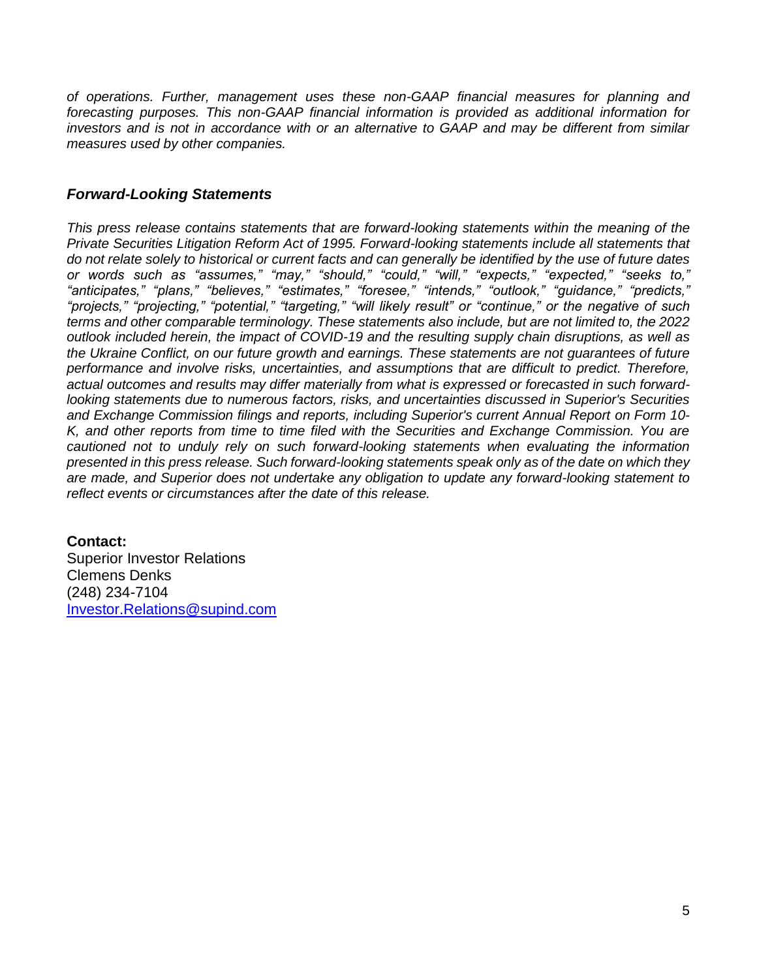*of operations. Further, management uses these non-GAAP financial measures for planning and forecasting purposes. This non-GAAP financial information is provided as additional information for investors and is not in accordance with or an alternative to GAAP and may be different from similar measures used by other companies.*

### *Forward-Looking Statements*

*This press release contains statements that are forward-looking statements within the meaning of the Private Securities Litigation Reform Act of 1995. Forward-looking statements include all statements that do not relate solely to historical or current facts and can generally be identified by the use of future dates or words such as "assumes," "may," "should," "could," "will," "expects," "expected," "seeks to," "anticipates," "plans," "believes," "estimates," "foresee," "intends," "outlook," "guidance," "predicts," "projects," "projecting," "potential," "targeting," "will likely result" or "continue," or the negative of such terms and other comparable terminology. These statements also include, but are not limited to, the 2022 outlook included herein, the impact of COVID-19 and the resulting supply chain disruptions, as well as the Ukraine Conflict, on our future growth and earnings. These statements are not guarantees of future performance and involve risks, uncertainties, and assumptions that are difficult to predict. Therefore, actual outcomes and results may differ materially from what is expressed or forecasted in such forwardlooking statements due to numerous factors, risks, and uncertainties discussed in Superior's Securities and Exchange Commission filings and reports, including Superior's current Annual Report on Form 10- K, and other reports from time to time filed with the Securities and Exchange Commission. You are cautioned not to unduly rely on such forward-looking statements when evaluating the information presented in this press release. Such forward-looking statements speak only as of the date on which they are made, and Superior does not undertake any obligation to update any forward-looking statement to reflect events or circumstances after the date of this release.*

### **Contact:**

Superior Investor Relations Clemens Denks (248) 234-7104 [Investor.Relations@supind.com](mailto:Investor.Relations@supind.com)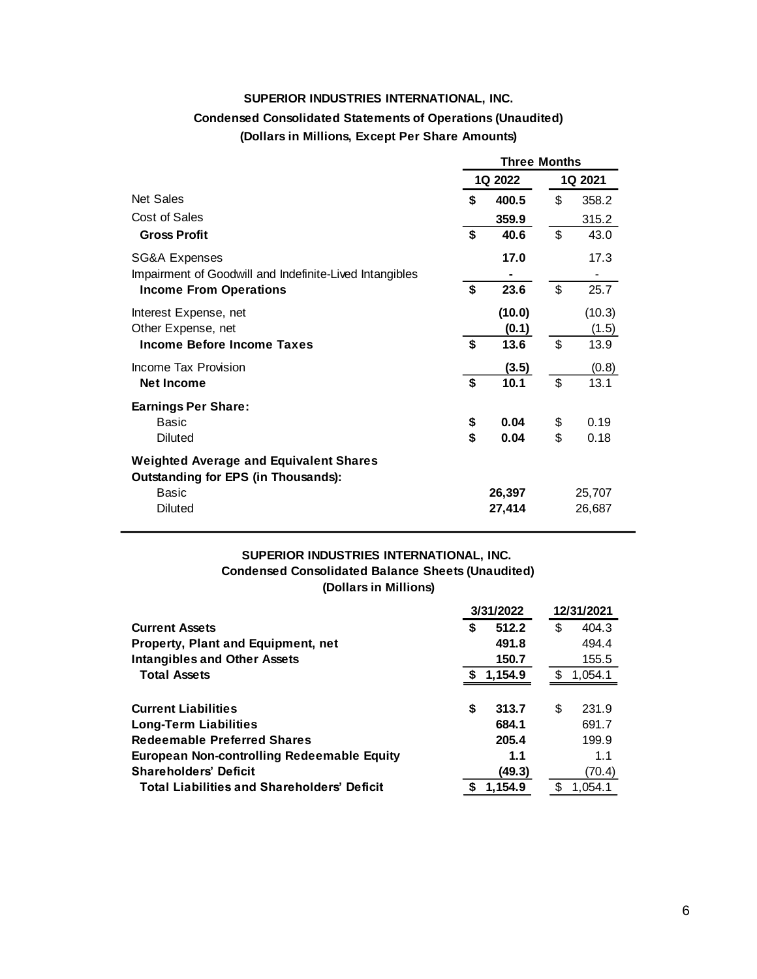#### **SUPERIOR INDUSTRIES INTERNATIONAL, INC.**

## **Condensed Consolidated Statements of Operations (Unaudited)**

**(Dollars in Millions, Except Per Share Amounts)**

|                                                                                             | Three Months |         |         |        |  |
|---------------------------------------------------------------------------------------------|--------------|---------|---------|--------|--|
|                                                                                             |              | 1Q 2022 | 1Q 2021 |        |  |
| <b>Net Sales</b>                                                                            | \$           | 400.5   | \$      | 358.2  |  |
| Cost of Sales                                                                               |              | 359.9   |         | 315.2  |  |
| <b>Gross Profit</b>                                                                         | \$           | 40.6    | \$      | 43.0   |  |
| SG&A Expenses                                                                               |              | 17.0    |         | 17.3   |  |
| Impairment of Goodwill and Indefinite-Lived Intangibles                                     |              |         |         |        |  |
| <b>Income From Operations</b>                                                               | \$           | 23.6    | \$      | 25.7   |  |
| Interest Expense, net                                                                       |              | (10.0)  |         | (10.3) |  |
| Other Expense, net                                                                          |              | (0.1)   |         | (1.5)  |  |
| Income Before Income Taxes                                                                  | \$           | 13.6    | \$      | 13.9   |  |
| Income Tax Provision                                                                        |              | (3.5)   |         | (0.8)  |  |
| <b>Net Income</b>                                                                           | \$           | 10.1    | \$      | 13.1   |  |
| <b>Earnings Per Share:</b>                                                                  |              |         |         |        |  |
| <b>Basic</b>                                                                                | \$           | 0.04    | \$      | 0.19   |  |
| <b>Diluted</b>                                                                              | \$           | 0.04    | \$      | 0.18   |  |
| <b>Weighted Average and Equivalent Shares</b><br><b>Outstanding for EPS (in Thousands):</b> |              |         |         |        |  |
| <b>Basic</b>                                                                                |              | 26,397  |         | 25,707 |  |
| <b>Diluted</b>                                                                              |              | 27,414  |         | 26,687 |  |

#### **Condensed Consolidated Balance Sheets (Unaudited) (Dollars in Millions) SUPERIOR INDUSTRIES INTERNATIONAL, INC.**

|                                                    |    | 3/31/2022 | 12/31/2021 |         |  |
|----------------------------------------------------|----|-----------|------------|---------|--|
| <b>Current Assets</b>                              | S  | 512.2     | \$         | 404.3   |  |
| <b>Property, Plant and Equipment, net</b>          |    | 491.8     |            | 494.4   |  |
| <b>Intangibles and Other Assets</b>                |    | 150.7     |            | 155.5   |  |
| <b>Total Assets</b>                                |    | 1,154.9   | S          | 1,054.1 |  |
|                                                    |    |           |            |         |  |
| <b>Current Liabilities</b>                         | \$ | 313.7     | S          | 231.9   |  |
| <b>Long-Term Liabilities</b>                       |    | 684.1     |            | 691.7   |  |
| <b>Redeemable Preferred Shares</b>                 |    | 205.4     |            | 199.9   |  |
| <b>European Non-controlling Redeemable Equity</b>  |    | 1.1       |            | 1.1     |  |
| <b>Shareholders' Deficit</b>                       |    | (49.3)    |            | (70.4)  |  |
| <b>Total Liabilities and Shareholders' Deficit</b> |    | 1,154.9   |            | 1.054.1 |  |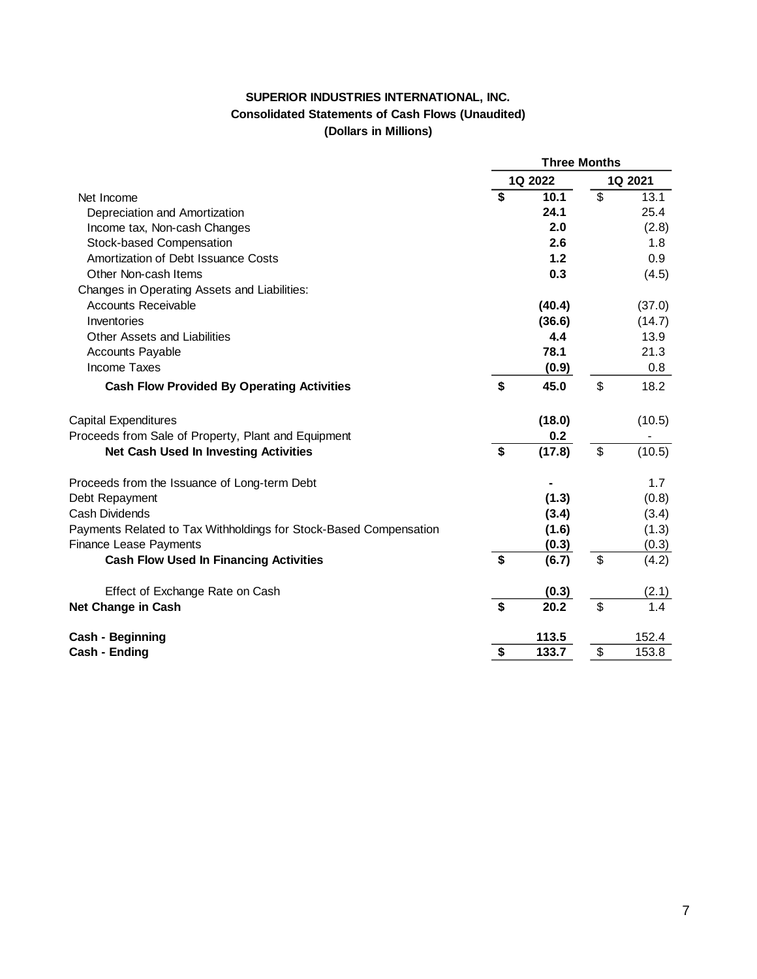### **SUPERIOR INDUSTRIES INTERNATIONAL, INC. Consolidated Statements of Cash Flows (Unaudited) (Dollars in Millions)**

|                                                                   | <b>Three Months</b>         |         |                          |         |
|-------------------------------------------------------------------|-----------------------------|---------|--------------------------|---------|
|                                                                   |                             | 1Q 2022 |                          | 1Q 2021 |
| Net Income                                                        | $\overline{\boldsymbol{s}}$ | 10.1    | $\overline{\mathcal{S}}$ | 13.1    |
| Depreciation and Amortization                                     |                             | 24.1    |                          | 25.4    |
| Income tax, Non-cash Changes                                      |                             | 2.0     |                          | (2.8)   |
| Stock-based Compensation                                          |                             | 2.6     |                          | 1.8     |
| Amortization of Debt Issuance Costs                               |                             | 1.2     |                          | 0.9     |
| Other Non-cash Items                                              |                             | 0.3     |                          | (4.5)   |
| Changes in Operating Assets and Liabilities:                      |                             |         |                          |         |
| <b>Accounts Receivable</b>                                        |                             | (40.4)  |                          | (37.0)  |
| Inventories                                                       |                             | (36.6)  |                          | (14.7)  |
| Other Assets and Liabilities                                      |                             | 4.4     |                          | 13.9    |
| <b>Accounts Payable</b>                                           |                             | 78.1    |                          | 21.3    |
| <b>Income Taxes</b>                                               |                             | (0.9)   |                          | 0.8     |
| <b>Cash Flow Provided By Operating Activities</b>                 | \$                          | 45.0    | $\mathfrak{S}$           | 18.2    |
| <b>Capital Expenditures</b>                                       |                             | (18.0)  |                          | (10.5)  |
| Proceeds from Sale of Property, Plant and Equipment               |                             | 0.2     |                          |         |
| <b>Net Cash Used In Investing Activities</b>                      | \$                          | (17.8)  | \$                       | (10.5)  |
| Proceeds from the Issuance of Long-term Debt                      |                             |         |                          | 1.7     |
| Debt Repayment                                                    |                             | (1.3)   |                          | (0.8)   |
| <b>Cash Dividends</b>                                             |                             | (3.4)   |                          | (3.4)   |
| Payments Related to Tax Withholdings for Stock-Based Compensation |                             | (1.6)   |                          | (1.3)   |
| <b>Finance Lease Payments</b>                                     |                             | (0.3)   |                          | (0.3)   |
| <b>Cash Flow Used In Financing Activities</b>                     | \$                          | (6.7)   | \$                       | (4.2)   |
| Effect of Exchange Rate on Cash                                   |                             | (0.3)   |                          | (2.1)   |
| Net Change in Cash                                                | \$                          | 20.2    | \$                       | 1.4     |
| Cash - Beginning                                                  |                             | 113.5   |                          | 152.4   |
| Cash - Ending                                                     | \$                          | 133.7   | \$                       | 153.8   |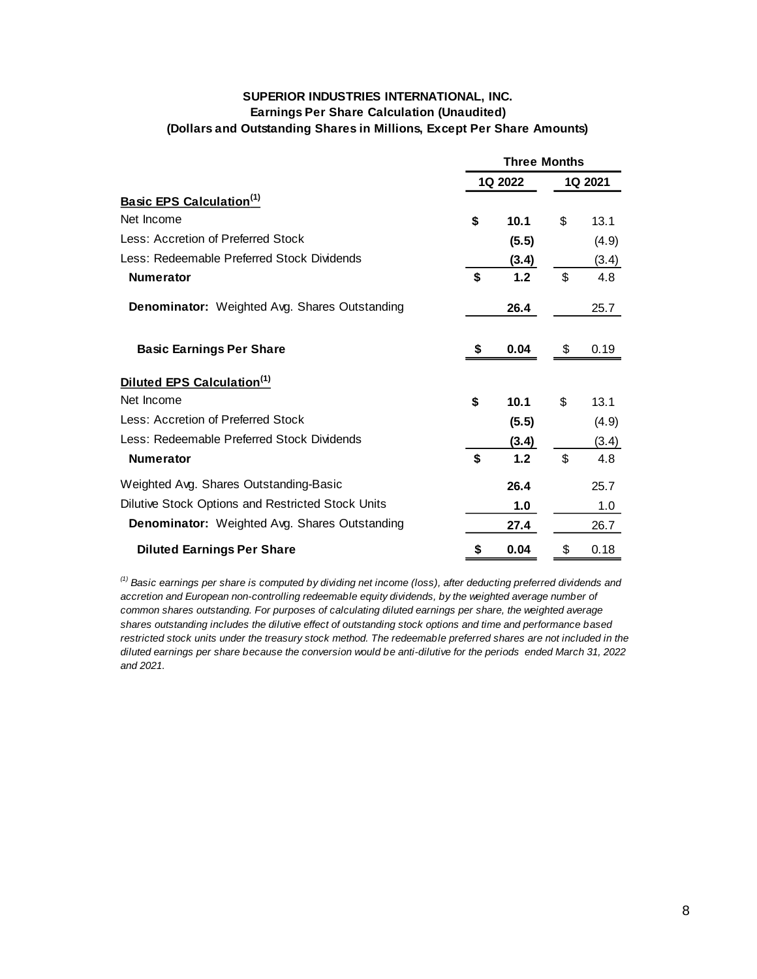### **SUPERIOR INDUSTRIES INTERNATIONAL, INC. Earnings Per Share Calculation (Unaudited) (Dollars and Outstanding Shares in Millions, Except Per Share Amounts)**

|                                                      | <b>Three Months</b> |       |                |       |  |  |
|------------------------------------------------------|---------------------|-------|----------------|-------|--|--|
|                                                      | 1Q 2022             |       | 1Q 2021        |       |  |  |
| <b>Basic EPS Calculation</b> <sup>(1)</sup>          |                     |       |                |       |  |  |
| Net Income                                           | \$                  | 10.1  | \$             | 13.1  |  |  |
| Less: Accretion of Preferred Stock                   |                     | (5.5) |                | (4.9) |  |  |
| Less: Redeemable Preferred Stock Dividends           |                     | (3.4) |                | (3.4) |  |  |
| <b>Numerator</b>                                     | \$                  | 1.2   | \$             | 4.8   |  |  |
| <b>Denominator:</b> Weighted Avg. Shares Outstanding |                     | 26.4  |                | 25.7  |  |  |
| <b>Basic Earnings Per Share</b>                      | \$                  | 0.04  | \$             | 0.19  |  |  |
| Diluted EPS Calculation <sup>(1)</sup>               |                     |       |                |       |  |  |
| Net Income                                           | \$                  | 10.1  | \$             | 13.1  |  |  |
| Less: Accretion of Preferred Stock                   |                     | (5.5) |                | (4.9) |  |  |
| Less: Redeemable Preferred Stock Dividends           |                     | (3.4) |                | (3.4) |  |  |
| <b>Numerator</b>                                     | $\mathbf{s}$        | 1.2   | $\mathfrak{L}$ | 4.8   |  |  |
| Weighted Avg. Shares Outstanding-Basic               |                     | 26.4  |                | 25.7  |  |  |
| Dilutive Stock Options and Restricted Stock Units    |                     | 1.0   |                | 1.0   |  |  |
| <b>Denominator:</b> Weighted Avg. Shares Outstanding |                     | 27.4  |                | 26.7  |  |  |
| <b>Diluted Earnings Per Share</b>                    | \$                  | 0.04  | \$             | 0.18  |  |  |

*(1) Basic earnings per share is computed by dividing net income (loss), after deducting preferred dividends and accretion and European non-controlling redeemable equity dividends, by the weighted average number of common shares outstanding. For purposes of calculating diluted earnings per share, the weighted average shares outstanding includes the dilutive effect of outstanding stock options and time and performance based*  restricted stock units under the treasury stock method. The redeemable preferred shares are not included in the *diluted earnings per share because the conversion would be anti-dilutive for the periods ended March 31, 2022 and 2021.*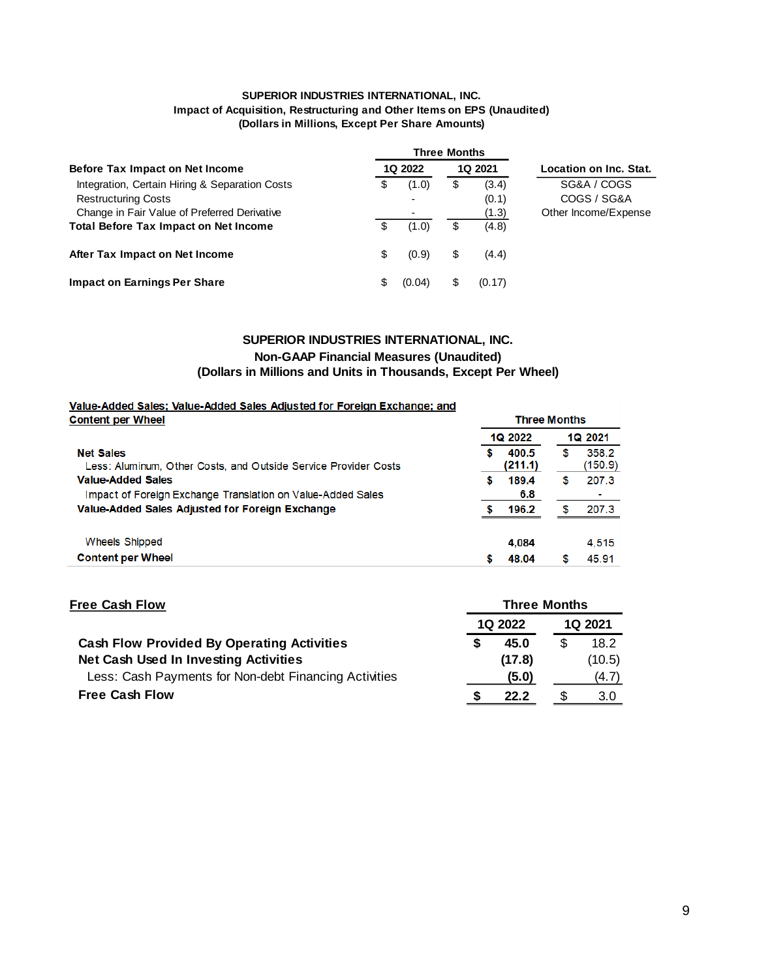#### **SUPERIOR INDUSTRIES INTERNATIONAL, INC. Impact of Acquisition, Restructuring and Other Items on EPS (Unaudited) (Dollars in Millions, Except Per Share Amounts)**

|                                                                              |    |                    | <b>Three Months</b> |                |                            |
|------------------------------------------------------------------------------|----|--------------------|---------------------|----------------|----------------------------|
| Before Tax Impact on Net Income                                              |    | 1Q 2021<br>1Q 2022 |                     |                | Location on Inc. Stat.     |
| Integration, Certain Hiring & Separation Costs<br><b>Restructuring Costs</b> | \$ | (1.0)              | \$                  | (3.4)          | SG&A / COGS<br>COGS / SG&A |
| Change in Fair Value of Preferred Derivative                                 |    |                    |                     | (0.1)<br>(1.3) | Other Income/Expense       |
| <b>Total Before Tax Impact on Net Income</b>                                 | \$ | (1.0)              | S                   | (4.8)          |                            |
| After Tax Impact on Net Income                                               | \$ | (0.9)              | S                   | (4.4)          |                            |
| <b>Impact on Earnings Per Share</b>                                          | \$ | (0.04)             |                     | (0.17)         |                            |

#### **Non-GAAP Financial Measures (Unaudited) SUPERIOR INDUSTRIES INTERNATIONAL, INC. (Dollars in Millions and Units in Thousands, Except Per Wheel)**

**Three Months** 

#### Value-Added Sales; Value-Added Sales Adjusted for Foreign Exchange; and **Content per Wheel**

|                                                                                     |   | <b>1Q 2022</b>   |  |                  |  |
|-------------------------------------------------------------------------------------|---|------------------|--|------------------|--|
| <b>Net Sales</b><br>Less: Aluminum, Other Costs, and Outside Service Provider Costs |   | 400.5<br>(211.1) |  | 358.2<br>(150.9) |  |
| <b>Value-Added Sales</b>                                                            | S | 189.4            |  | 207.3            |  |
| Impact of Foreign Exchange Translation on Value-Added Sales                         |   | 6.8              |  |                  |  |
| Value-Added Sales Adjusted for Foreign Exchange                                     |   | 196.2            |  | 207.3            |  |
| Wheels Shipped                                                                      |   | 4.084            |  | 4.515            |  |
| <b>Content per Wheel</b>                                                            |   | 48.04            |  | 45.91            |  |

| <b>Free Cash Flow</b>                                 | <b>Three Months</b>              |        |  |        |  |  |  |
|-------------------------------------------------------|----------------------------------|--------|--|--------|--|--|--|
|                                                       | <b>1Q 2022</b><br><b>1Q 2021</b> |        |  |        |  |  |  |
| <b>Cash Flow Provided By Operating Activities</b>     |                                  | 45.0   |  | 18.2   |  |  |  |
| <b>Net Cash Used In Investing Activities</b>          |                                  | (17.8) |  | (10.5) |  |  |  |
| Less: Cash Payments for Non-debt Financing Activities |                                  | (5.0)  |  | (4.7)  |  |  |  |
| <b>Free Cash Flow</b>                                 |                                  | 22.2   |  | 3.0    |  |  |  |